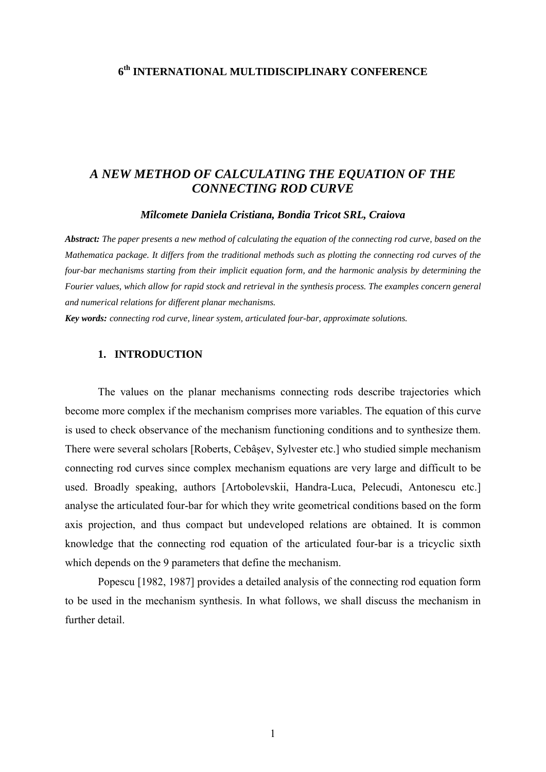## **6th INTERNATIONAL MULTIDISCIPLINARY CONFERENCE**

## *A NEW METHOD OF CALCULATING THE EQUATION OF THE CONNECTING ROD CURVE*

### *Mîlcomete Daniela Cristiana, Bondia Tricot SRL, Craiova*

*Abstract: The paper presents a new method of calculating the equation of the connecting rod curve, based on the Mathematica package. It differs from the traditional methods such as plotting the connecting rod curves of the four-bar mechanisms starting from their implicit equation form, and the harmonic analysis by determining the Fourier values, which allow for rapid stock and retrieval in the synthesis process. The examples concern general and numerical relations for different planar mechanisms.* 

*Key words: connecting rod curve, linear system, articulated four-bar, approximate solutions.* 

### **1. INTRODUCTION**

The values on the planar mechanisms connecting rods describe trajectories which become more complex if the mechanism comprises more variables. The equation of this curve is used to check observance of the mechanism functioning conditions and to synthesize them. There were several scholars [Roberts, Cebâşev, Sylvester etc.] who studied simple mechanism connecting rod curves since complex mechanism equations are very large and difficult to be used. Broadly speaking, authors [Artobolevskii, Handra-Luca, Pelecudi, Antonescu etc.] analyse the articulated four-bar for which they write geometrical conditions based on the form axis projection, and thus compact but undeveloped relations are obtained. It is common knowledge that the connecting rod equation of the articulated four-bar is a tricyclic sixth which depends on the 9 parameters that define the mechanism.

 Popescu [1982, 1987] provides a detailed analysis of the connecting rod equation form to be used in the mechanism synthesis. In what follows, we shall discuss the mechanism in further detail.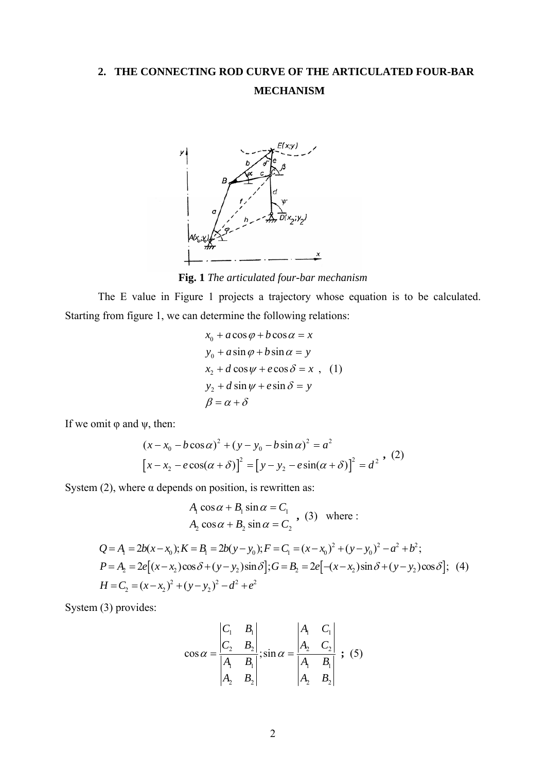# **2. THE CONNECTING ROD CURVE OF THE ARTICULATED FOUR-BAR MECHANISM**



**Fig. 1** *The articulated four-bar mechanism*

The E value in Figure 1 projects a trajectory whose equation is to be calculated. Starting from figure 1, we can determine the following relations:

$$
x_0 + a\cos\varphi + b\cos\alpha = x
$$
  
\n
$$
y_0 + a\sin\varphi + b\sin\alpha = y
$$
  
\n
$$
x_2 + d\cos\psi + e\cos\delta = x
$$
, (1)  
\n
$$
y_2 + d\sin\psi + e\sin\delta = y
$$
  
\n
$$
\beta = \alpha + \delta
$$

If we omit  $\varphi$  and  $\psi$ , then:

$$
(x - x_0 - b\cos\alpha)^2 + (y - y_0 - b\sin\alpha)^2 = a^2
$$
  
\n
$$
[x - x_2 - e\cos(\alpha + \delta)]^2 = [y - y_2 - e\sin(\alpha + \delta)]^2 = d^2
$$
, (2)

System (2), where  $\alpha$  depends on position, is rewritten as:

$$
A_1 \cos \alpha + B_1 \sin \alpha = C_1
$$
  
\n
$$
A_2 \cos \alpha + B_2 \sin \alpha = C_2
$$
, (3) where:  
\n
$$
Q = A_1 = 2b(x - x_0); K = B_1 = 2b(y - y_0); F = C_1 = (x - x_0)^2 + (y - y_0)^2 - a^2 + b^2;
$$
  
\n
$$
P = A_2 = 2e[(x - x_2)\cos \delta + (y - y_2)\sin \delta]; G = B_2 = 2e[-(x - x_2)\sin \delta + (y - y_2)\cos \delta];
$$
 (4)  
\n
$$
H = C_2 = (x - x_2)^2 + (y - y_2)^2 - d^2 + e^2
$$

System (3) provides:

$$
\cos \alpha = \frac{\begin{vmatrix} C_1 & B_1 \\ C_2 & B_2 \end{vmatrix}}{\begin{vmatrix} A_1 & B_1 \\ A_2 & B_2 \end{vmatrix}}; \sin \alpha = \frac{\begin{vmatrix} A_1 & C_1 \\ A_2 & C_2 \end{vmatrix}}{\begin{vmatrix} A_1 & B_1 \\ A_2 & B_2 \end{vmatrix}}; (5)
$$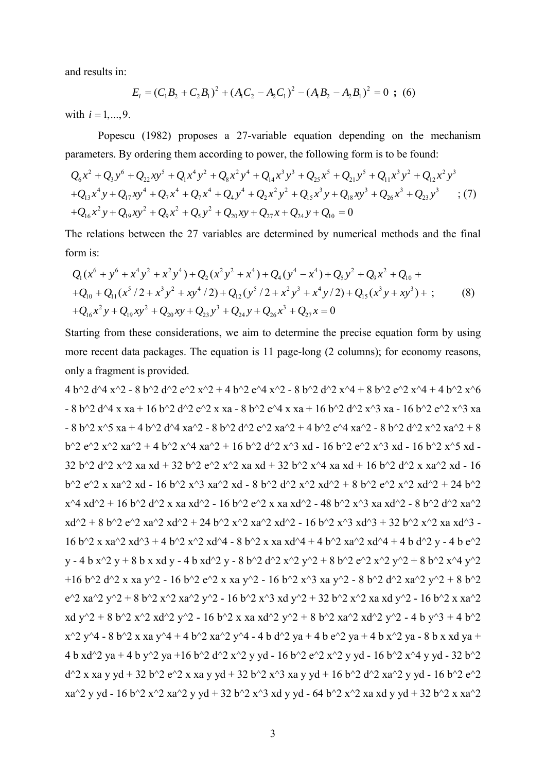and results in:

$$
E_i = (C_1B_2 + C_2B_1)^2 + (A_1C_2 - A_2C_1)^2 - (A_1B_2 - A_2B_1)^2 = 0 \text{ ; } (6)
$$

with  $i = 1, ..., 9$ .

Popescu (1982) proposes a 27-variable equation depending on the mechanism parameters. By ordering them according to power, the following form is to be found:

$$
Q_6x^2 + Q_3y^6 + Q_{22}xy^5 + Q_1x^4y^2 + Q_8x^2y^4 + Q_{14}x^3y^3 + Q_{25}x^5 + Q_{21}y^5 + Q_{11}x^3y^2 + Q_{12}x^2y^3
$$
  
+ $Q_{13}x^4y + Q_{17}xy^4 + Q_7x^4 + Q_7x^4 + Q_4y^4 + Q_2x^2y^2 + Q_{15}x^3y + Q_{18}xy^3 + Q_{26}x^3 + Q_{23}y^3$  ; (7)  
+ $Q_{16}x^2y + Q_{19}xy^2 + Q_9x^2 + Q_5y^2 + Q_{20}xy + Q_{27}x + Q_{24}y + Q_{10} = 0$ 

The relations between the 27 variables are determined by numerical methods and the final form is:

$$
Q_1(x^6 + y^6 + x^4y^2 + x^2y^4) + Q_2(x^2y^2 + x^4) + Q_4(y^4 - x^4) + Q_5y^2 + Q_9x^2 + Q_{10} +
$$
  
+
$$
Q_{10} + Q_{11}(x^5/2 + x^3y^2 + xy^4/2) + Q_{12}(y^5/2 + x^2y^3 + x^4y/2) + Q_{15}(x^3y + xy^3) + ;
$$
  
+
$$
Q_{16}x^2y + Q_{19}xy^2 + Q_{20}xy + Q_{23}y^3 + Q_{24}y + Q_{26}x^3 + Q_{27}x = 0
$$
\n(8)

Starting from these considerations, we aim to determine the precise equation form by using more recent data packages. The equation is 11 page-long (2 columns); for economy reasons, only a fragment is provided.

4 b^2 d^4 x^2 - 8 b^2 d^2 x^2 + 4 b^2 e^4 x^2 - 8 b^2 d^2 x^4 + 8 b^2 e^2 x^4 + 4 b^2 x^6  $b^2$  e^2 x^2 xa^2 + 4 b^2 x^4 xa^2 + 16 b^2 d^2 x^3 xd - 16 b^2 e^2 x^3 xd - 16 b^2 x^5 xd - $- 8$  b^2 d^4 x xa + 16 b^2 d^2 e^2 x xa - 8 b^2 e^4 x xa + 16 b^2 d^2 x^3 xa - 16 b^2 e^2 x^3 xa  $-8$  b^2 x^5 xa + 4 b^2 d^4 xa^2 - 8 b^2 d^2 e^2 xa^2 + 4 b^2 e^4 xa^2 - 8 b^2 d^2 x^2 xa^2 + 8 32 b^2 d^2 x^2 xa xd + 32 b^2 e^2 x^2 xa xd + 32 b^2 x^4 xa xd + 16 b^2 d^2 x xa^2 xd - 16 b^2 e^2 x xa^2 xd - 16 b^2 x^3 xa^2 xd - 8 b^2 d^2 x^2 xd^2 + 8 b^2 e^2 x^2 xd^2 + 24 b^2  $x^4$  xd^2 + 16 b^2 d^2 x xa xd^2 - 16 b^2 e^2 x xa xd^2 - 48 b^2 x^3 xa xd^2 - 8 b^2 d^2 xa^2  $xd^2 + 8 b^2 2 e^2 x a^2 x d^2 + 24 b^2 x^2 x a^2 x d^2 - 16 b^2 x^3 x d^3 + 32 b^2 x^2 x a x d^3 -$ 16 b^2 x xa^2 xd^3 + 4 b^2 x^2 xd^4 - 8 b^2 x xa xd^4 + 4 b^2 xa^2 xd^4 + 4 b d^2 y - 4 b e^2 y - 4 b x<sup> $\gamma$ </sup> 2 y + 8 b x xd y - 4 b xd<sup> $\gamma$ </sup> 2 y - 8 b^2 d^2 x^2 y^2 + 8 b^2 x^2 y^2 + 8 b^2 x^4 y^2 +16 b^2 d^2 x xa y^2 - 16 b^2 e^2 x xa y^2 - 16 b^2 x^3 xa y^2 - 8 b^2 d^2 xa^2 y^2 + 8 b^2  $e^{\lambda}$  xa^2 y^2 + 8 b^2 x^2 xa^2 y^2 - 16 b^2 x^3 xd y^2 + 32 b^2 x^2 xa xd y^2 - 16 b^2 x xa^2 xd y^2 + 8 b^2 x^2 xd^2 y^2 - 16 b^2 x xa xd^2 y^2 + 8 b^2 xa^2 xd^2 y^2 - 4 b y^3 + 4 b^2  $x^2 y^4 - 8 b^2 x x a y^4 + 4 b^2 x a^2 y^4 - 4 b d^2 y a + 4 b e^2 y a + 4 b x^2 y a - 8 b x x d y a + 4 b x^2 y^2$ 4 b xd^2 ya + 4 b y^2 ya +16 b^2 d^2 x^2 y yd - 16 b^2 e^2 x^2 y yd - 16 b^2 x^4 y yd - 32 b^2  $d^2$  x xa y yd + 32 b<sup> $\sim$ </sup>2  $e^{\frac{1}{2}}$  x xa y yd + 32 b $\sim$ 2 x $\sim$ 3 xa y yd + 16 b $\sim$ 2 d $\sim$ 2 xa $\sim$ 2 y yd - 16 b $\sim$ 2 e $\sim$ 2  $xa^2$  y yd - 16 b<sup> $\sim$ </sup>2 x $\sim$ 2 xa $\sim$ 2 y yd + 32 b $\sim$ 2 x $\sim$ 3 xd y yd - 64 b $\sim$ 2 x $\sim$ 2 xa xd y yd + 32 b $\sim$ 2 x xa $\sim$ 2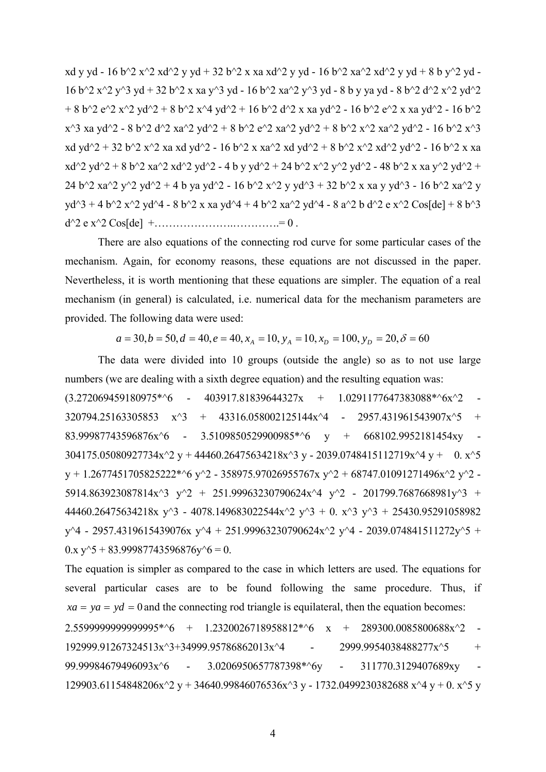xd y yd - 16 b^2 x^2 xd^2 y yd + 32 b^2 x xa xd^2 y yd - 16 b^2 xa^2 xd^2 y yd + 8 b y^2 yd -16 b^2 x^2 y^3 yd + 32 b^2 x xa y^3 yd - 16 b^2 xa^2 y^3 yd - 8 b y ya yd - 8 b^2 d^2 x^2 yd^2 + 8 b^2 e^2 x^2 yd^2 + 8 b^2 x^4 yd^2 + 16 b^2 d^2 x xa yd^2 - 16 b^2 e^2 x xa yd^2 - 16 b^2  $x^3$  xa yd^2 - 8 b^2 d^2 xa^2 yd^2 + 8 b^2 e^2 xa^2 yd^2 + 8 b^2 x^2 xa^2 yd^2 - 16 b^2 x^3 xd yd^2 + 32 b^2 x^2 xa xd yd^2 - 16 b^2 x xa^2 xd yd^2 + 8 b^2 x^2 xd^2 yd^2 - 16 b^2 x xa  $xd^2 yd^2 + 8 b^2 xa^2 xd^2 yd^2 - 4 b y yd^2 + 24 b^2 x^2 y^2 yd^2 - 48 b^2 x x a y^2 yd^2 +$ 24 b^2 xa^2 y^2 yd^2 + 4 b ya yd^2 - 16 b^2 x^2 y yd^3 + 32 b^2 x xa y yd^3 - 16 b^2 xa^2 y  $y d^3 + 4 b^2 x^2 y d^4 - 8 b^2 x x a y d^4 + 4 b^2 x a^2 y d^4 - 8 a^2 b d^2 e x^2 Cos[de] + 8 b^3$ d^2 e x^2 Cos[de] +………………….………….= 0 .

There are also equations of the connecting rod curve for some particular cases of the mechanism. Again, for economy reasons, these equations are not discussed in the paper. Nevertheless, it is worth mentioning that these equations are simpler. The equation of a real mechanism (in general) is calculated, i.e. numerical data for the mechanism parameters are provided. The following data were used:

$$
a = 30, b = 50, d = 40, e = 40, x_A = 10, y_A = 10, x_D = 100, y_D = 20, \delta = 60
$$

The data were divided into 10 groups (outside the angle) so as to not use large numbers (we are dealing with a sixth degree equation) and the resulting equation was:

 $(3.272069459180975^{*\,8}\,6 - 403917.81839644327x + 1.0291177647383088^{*\,8}\,6x^{\,8}2 - 403917.81839644327x$  $320794.25163305853$   $x^3$  + 43316.058002125144x^4 - 2957.431961543907x^5 + 83.99987743596876x^6 -304175.05080927734x^2 y + 44460.26475634218x^3 y - 2039.0748415112719x^4 y + 0. x^5 3.5109850529900985\*^6 y + 668102.9952181454xy  $y + 1.2677451705825222^{*\sim}6$  y^2 - 358975.97026955767x y^2 + 68747.01091271496x^2 y^2 -5914.863923087814x^3 y^2 + 251.99963230790624x^4 y^2 - 201799.7687668981y^3 + 44460.26475634218x  $y$ <sup>3</sup> - 4078.149683022544x<sup>2</sup>  $y$ <sup>3</sup> + 0. x<sup>3</sup>  $y$ <sup>3</sup> + 25430.95291058982  $y^4$  - 2957.4319615439076x  $y^4$  + 251.99963230790624x<sup>2</sup> y<sup>2</sup> - 2039.074841511272y<sup>2</sup>5 +  $0.x y^5 + 83.99987743596876y^6 = 0.$ 

 $2.5599999999999995*^6 + 1.2320026718958812*^6$  x + 289300.0085800688x^2 -129903.61154848206x^2 y + 34640.99846076536x^3 y - 1732.0499230382688 x^4 y + 0. x^5 y The equation is simpler as compared to the case in which letters are used. The equations for several particular cases are to be found following the same procedure. Thus, if  $xa = ya = yd = 0$  and the connecting rod triangle is equilateral, then the equation becomes: 192999.91267324513x^3+34999.95786862013x^4 - 2999.9954038488277x^5 + 99.99984679496093x^6 - 3.0206950657787398\*^6y - 311770.3129407689xy

4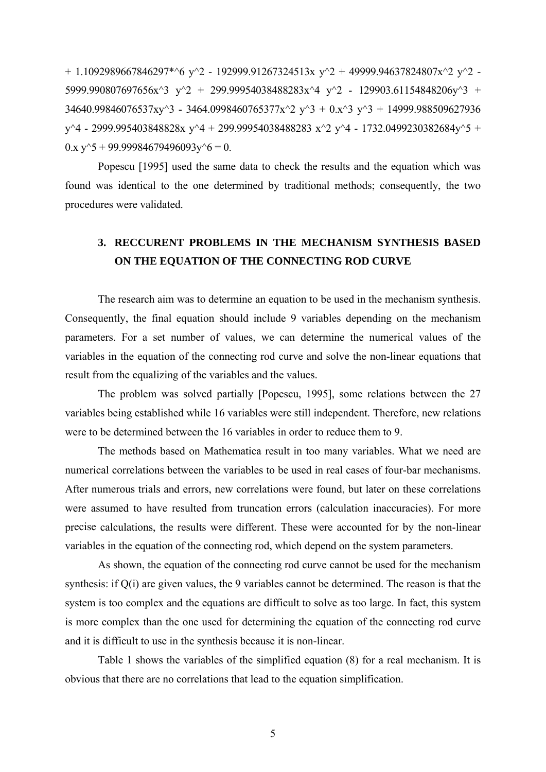+ 1.1092989667846297\*^6 y^2 - 192999.91267324513x y^2 + 49999.94637824807x^2 y^2 -5999.990807697656x^3 y^2 + 299.99954038488283x^4 y^2 - 129903.61154848206y^3 +  $34640.99846076537xy^3 - 3464.0998460765377x^2 y^3 + 0.x^3 y^3 + 14999.988509627936$ y^4 - 2999.995403848828x y^4 + 299.99954038488283 x^2 y^4 - 1732.0499230382684y^5 +  $0.x y^5 + 99.99984679496093y^6 = 0.$ 

Popescu [1995] used the same data to check the results and the equation which was found was identical to the one determined by traditional methods; consequently, the two procedures were validated.

# **3. RECCURENT PROBLEMS IN THE MECHANISM SYNTHESIS BASED ON THE EQUATION OF THE CONNECTING ROD CURVE**

The research aim was to determine an equation to be used in the mechanism synthesis. parameters. For a set number of values, we can determine the numerical values of the variables in the equation of the connecting rod curve and solve the non-linear equations that result from the equalizing of the variables and the values. Consequently, the final equation should include 9 variables depending on the mechanism

 The problem was solved partially [Popescu, 1995], some relations between the 27 variables being established while 16 variables were still independent. Therefore, new relations were to be determined between the 16 variables in order to reduce them to 9.

The methods based on Mathematica result in too many variables. What we need are numerical correlations between the variables to be used in real cases of four-bar mechanisms. were assumed to have resulted from truncation errors (calculation inaccuracies). For more precise calculations, the results were different. These were accounted for by the non-linear After numerous trials and errors, new correlations were found, but later on these correlations variables in the equation of the connecting rod, which depend on the system parameters.

is more complex than the one used for determining the equation of the connecting rod curve As shown, the equation of the connecting rod curve cannot be used for the mechanism synthesis: if Q(i) are given values, the 9 variables cannot be determined. The reason is that the system is too complex and the equations are difficult to solve as too large. In fact, this system and it is difficult to use in the synthesis because it is non-linear.

 Table 1 shows the variables of the simplified equation (8) for a real mechanism. It is obvious that there are no correlations that lead to the equation simplification.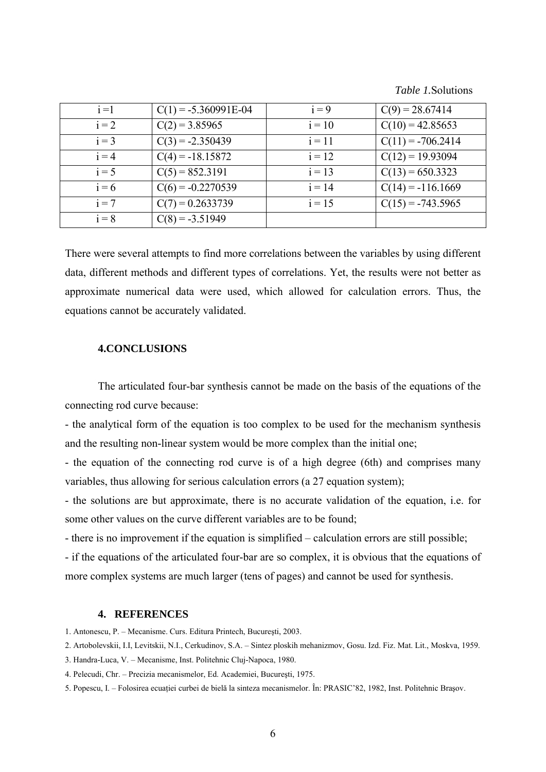*Table 1.*Solutions

| $i=1$   | $C(1) = -5.360991E-04$ | $i = 9$  | $C(9) = 28.67414$   |
|---------|------------------------|----------|---------------------|
| $i = 2$ | $C(2) = 3.85965$       | $i = 10$ | $C(10) = 42.85653$  |
| $i = 3$ | $C(3) = -2.350439$     | $i = 11$ | $C(11) = -706.2414$ |
| $i = 4$ | $C(4) = -18.15872$     | $i = 12$ | $C(12) = 19.93094$  |
| $i = 5$ | $C(5) = 852.3191$      | $i = 13$ | $C(13) = 650.3323$  |
| $i = 6$ | $C(6) = -0.2270539$    | $i = 14$ | $C(14) = -116.1669$ |
| $i = 7$ | $C(7) = 0.2633739$     | $i = 15$ | $C(15) = -743.5965$ |
| $i = 8$ | $C(8) = -3.51949$      |          |                     |

There were several attempts to find more correlations between the variables by using different data, different methods and different types of correlations. Yet, the results were not better as approximate numerical data were used, which allowed for calculation errors. Thus, the equations cannot be accurately validated.

### **4.CONCLUSIONS**

 The articulated four-bar synthesis cannot be made on the basis of the equations of the connecting rod curve because:

- the analytical form of the equation is too complex to be used for the mechanism synthesis and the resulting non-linear system would be more complex than the initial one;

- the equation of the connecting rod curve is of a high degree (6th) and comprises many variables, thus allowing for serious calculation errors (a 27 equation system);

- the solutions are but approximate, there is no accurate validation of the equation, i.e. for some other values on the curve different variables are to be found;

- there is no improvement if the equation is simplified – calculation errors are still possible;

more complex systems are much larger (tens of pages) and cannot be used for synthesis. - if the equations of the articulated four-bar are so complex, it is obvious that the equations of

#### **4. REFERENCES**

1. Antonescu, P. – Mecanisme. Curs. Editura Printech, Bucureşti, 2003.

- 2. Artobolevskii, I.I, Levitskii, N.I., Cerkudinov, S.A. Sintez ploskih mehanizmov, Gosu. Izd. Fiz. Mat. Lit., Moskva, 1959.
- 3. Handra-Luca, V. Mecanisme, Inst. Politehnic Cluj-Napoca, 1980.
- 4. Pelecudi, Chr. Precizia mecanismelor, Ed. Academiei, Bucureşti, 1975.
- . Popescu, I. Folosirea ecuaţiei curbei de bielă la sinteza mecanismelor. În: PRASIC'82, 1982, Inst. Politehnic Braşov. 5